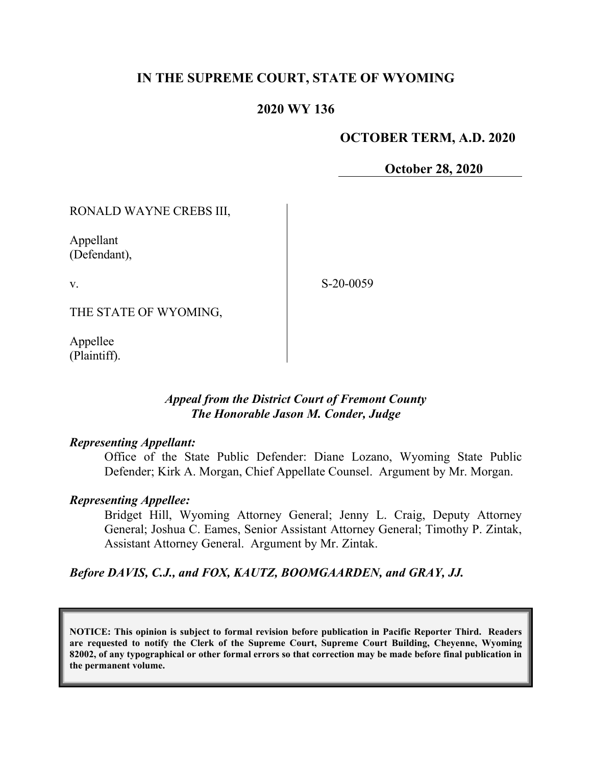# **IN THE SUPREME COURT, STATE OF WYOMING**

### **2020 WY 136**

#### **OCTOBER TERM, A.D. 2020**

 **October 28, 2020**

RONALD WAYNE CREBS III,

Appellant (Defendant),

v.

S-20-0059

THE STATE OF WYOMING,

Appellee (Plaintiff).

#### *Appeal from the District Court of Fremont County The Honorable Jason M. Conder, Judge*

#### *Representing Appellant:*

Office of the State Public Defender: Diane Lozano, Wyoming State Public Defender; Kirk A. Morgan, Chief Appellate Counsel. Argument by Mr. Morgan.

#### *Representing Appellee:*

Bridget Hill, Wyoming Attorney General; Jenny L. Craig, Deputy Attorney General; Joshua C. Eames, Senior Assistant Attorney General; Timothy P. Zintak, Assistant Attorney General. Argument by Mr. Zintak.

*Before DAVIS, C.J., and FOX, KAUTZ, BOOMGAARDEN, and GRAY, JJ.*

**NOTICE: This opinion is subject to formal revision before publication in Pacific Reporter Third. Readers are requested to notify the Clerk of the Supreme Court, Supreme Court Building, Cheyenne, Wyoming 82002, of any typographical or other formal errors so that correction may be made before final publication in the permanent volume.**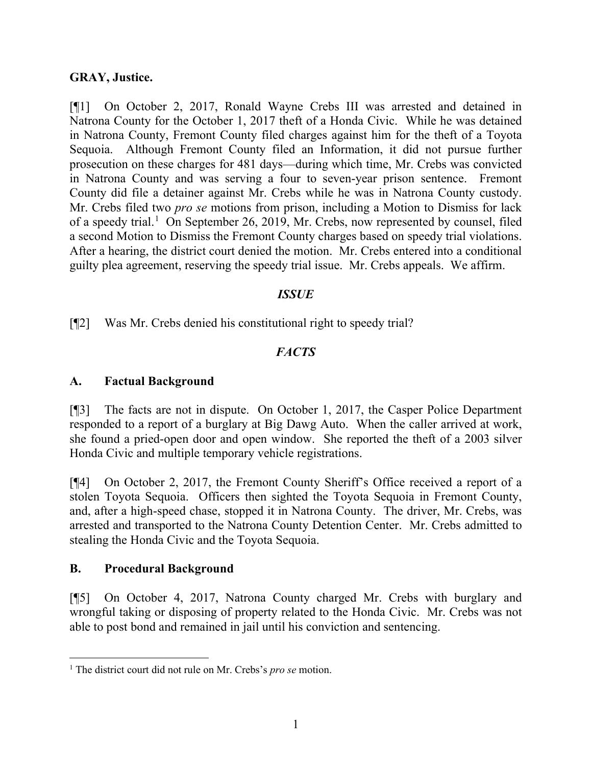#### **GRAY, Justice.**

[¶1] On October 2, 2017, Ronald Wayne Crebs III was arrested and detained in Natrona County for the October 1, 2017 theft of a Honda Civic. While he was detained in Natrona County, Fremont County filed charges against him for the theft of a Toyota Sequoia. Although Fremont County filed an Information, it did not pursue further prosecution on these charges for 481 days—during which time, Mr. Crebs was convicted in Natrona County and was serving a four to seven-year prison sentence. Fremont County did file a detainer against Mr. Crebs while he was in Natrona County custody. Mr. Crebs filed two *pro se* motions from prison, including a Motion to Dismiss for lack of a speedy trial.<sup>[1](#page-1-0)</sup> On September 26, 2019, Mr. Crebs, now represented by counsel, filed a second Motion to Dismiss the Fremont County charges based on speedy trial violations. After a hearing, the district court denied the motion. Mr. Crebs entered into a conditional guilty plea agreement, reserving the speedy trial issue. Mr. Crebs appeals. We affirm.

#### *ISSUE*

[¶2] Was Mr. Crebs denied his constitutional right to speedy trial?

# *FACTS*

## **A. Factual Background**

[¶3] The facts are not in dispute. On October 1, 2017, the Casper Police Department responded to a report of a burglary at Big Dawg Auto. When the caller arrived at work, she found a pried-open door and open window. She reported the theft of a 2003 silver Honda Civic and multiple temporary vehicle registrations.

[¶4] On October 2, 2017, the Fremont County Sheriff's Office received a report of a stolen Toyota Sequoia. Officers then sighted the Toyota Sequoia in Fremont County, and, after a high-speed chase, stopped it in Natrona County. The driver, Mr. Crebs, was arrested and transported to the Natrona County Detention Center. Mr. Crebs admitted to stealing the Honda Civic and the Toyota Sequoia.

## **B. Procedural Background**

[¶5] On October 4, 2017, Natrona County charged Mr. Crebs with burglary and wrongful taking or disposing of property related to the Honda Civic. Mr. Crebs was not able to post bond and remained in jail until his conviction and sentencing.

<span id="page-1-0"></span><sup>1</sup> The district court did not rule on Mr. Crebs's *pro se* motion.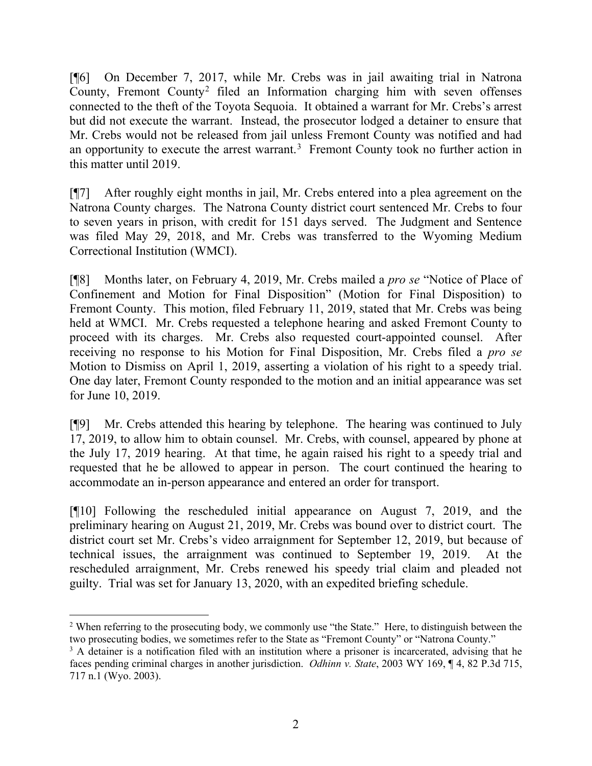[¶6] On December 7, 2017, while Mr. Crebs was in jail awaiting trial in Natrona County, Fremont County[2](#page-2-0) filed an Information charging him with seven offenses connected to the theft of the Toyota Sequoia. It obtained a warrant for Mr. Crebs's arrest but did not execute the warrant. Instead, the prosecutor lodged a detainer to ensure that Mr. Crebs would not be released from jail unless Fremont County was notified and had an opportunity to execute the arrest warrant.<sup>[3](#page-2-1)</sup> Fremont County took no further action in this matter until 2019.

[¶7] After roughly eight months in jail, Mr. Crebs entered into a plea agreement on the Natrona County charges. The Natrona County district court sentenced Mr. Crebs to four to seven years in prison, with credit for 151 days served. The Judgment and Sentence was filed May 29, 2018, and Mr. Crebs was transferred to the Wyoming Medium Correctional Institution (WMCI).

[¶8] Months later, on February 4, 2019, Mr. Crebs mailed a *pro se* "Notice of Place of Confinement and Motion for Final Disposition" (Motion for Final Disposition) to Fremont County. This motion, filed February 11, 2019, stated that Mr. Crebs was being held at WMCI. Mr. Crebs requested a telephone hearing and asked Fremont County to proceed with its charges. Mr. Crebs also requested court-appointed counsel. After receiving no response to his Motion for Final Disposition, Mr. Crebs filed a *pro se* Motion to Dismiss on April 1, 2019, asserting a violation of his right to a speedy trial. One day later, Fremont County responded to the motion and an initial appearance was set for June 10, 2019.

[¶9] Mr. Crebs attended this hearing by telephone. The hearing was continued to July 17, 2019, to allow him to obtain counsel. Mr. Crebs, with counsel, appeared by phone at the July 17, 2019 hearing. At that time, he again raised his right to a speedy trial and requested that he be allowed to appear in person. The court continued the hearing to accommodate an in-person appearance and entered an order for transport.

[¶10] Following the rescheduled initial appearance on August 7, 2019, and the preliminary hearing on August 21, 2019, Mr. Crebs was bound over to district court. The district court set Mr. Crebs's video arraignment for September 12, 2019, but because of technical issues, the arraignment was continued to September 19, 2019. At the rescheduled arraignment, Mr. Crebs renewed his speedy trial claim and pleaded not guilty. Trial was set for January 13, 2020, with an expedited briefing schedule.

<span id="page-2-0"></span><sup>&</sup>lt;sup>2</sup> When referring to the prosecuting body, we commonly use "the State." Here, to distinguish between the two prosecuting bodies, we sometimes refer to the State as "Fremont County" or "Natrona County."

<span id="page-2-1"></span><sup>&</sup>lt;sup>3</sup> A detainer is a notification filed with an institution where a prisoner is incarcerated, advising that he faces pending criminal charges in another jurisdiction. *Odhinn v. State*, 2003 WY 169, ¶ 4, 82 P.3d 715, 717 n.1 (Wyo. 2003).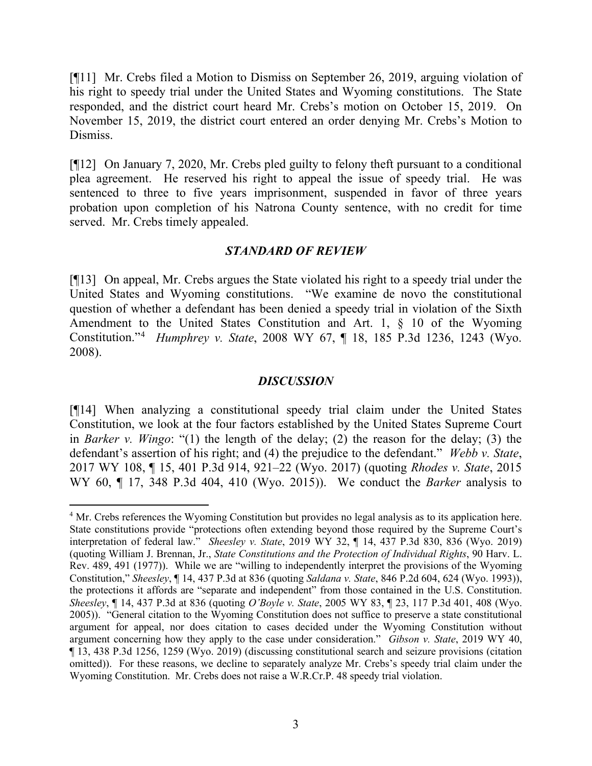[¶11] Mr. Crebs filed a Motion to Dismiss on September 26, 2019, arguing violation of his right to speedy trial under the United States and Wyoming constitutions. The State responded, and the district court heard Mr. Crebs's motion on October 15, 2019. On November 15, 2019, the district court entered an order denying Mr. Crebs's Motion to Dismiss.

[¶12] On January 7, 2020, Mr. Crebs pled guilty to felony theft pursuant to a conditional plea agreement. He reserved his right to appeal the issue of speedy trial. He was sentenced to three to five years imprisonment, suspended in favor of three years probation upon completion of his Natrona County sentence, with no credit for time served. Mr. Crebs timely appealed.

#### *STANDARD OF REVIEW*

[¶13] On appeal, Mr. Crebs argues the State violated his right to a speedy trial under the United States and Wyoming constitutions. "We examine de novo the constitutional question of whether a defendant has been denied a speedy trial in violation of the Sixth Amendment to the United States Constitution and Art. 1, § 10 of the Wyoming Constitution."[4](#page-3-0) *Humphrey v. State*, 2008 WY 67, ¶ 18, 185 P.3d 1236, 1243 (Wyo. 2008).

#### *DISCUSSION*

[¶14] When analyzing a constitutional speedy trial claim under the United States Constitution, we look at the four factors established by the United States Supreme Court in *Barker v. Wingo*: "(1) the length of the delay; (2) the reason for the delay; (3) the defendant's assertion of his right; and (4) the prejudice to the defendant." *Webb v. State*, 2017 WY 108, ¶ 15, 401 P.3d 914, 921–22 (Wyo. 2017) (quoting *Rhodes v. State*, 2015 WY 60, ¶ 17, 348 P.3d 404, 410 (Wyo. 2015)). We conduct the *Barker* analysis to

<span id="page-3-0"></span><sup>&</sup>lt;sup>4</sup> Mr. Crebs references the Wyoming Constitution but provides no legal analysis as to its application here. State constitutions provide "protections often extending beyond those required by the Supreme Court's interpretation of federal law." *Sheesley v. State*, 2019 WY 32, ¶ 14, 437 P.3d 830, 836 (Wyo. 2019) (quoting William J. Brennan, Jr., *State Constitutions and the Protection of Individual Rights*, 90 Harv. L. Rev. 489, 491 (1977)). While we are "willing to independently interpret the provisions of the Wyoming Constitution," *Sheesley*, ¶ 14, 437 P.3d at 836 (quoting *Saldana v. State*, 846 P.2d 604, 624 (Wyo. 1993)), the protections it affords are "separate and independent" from those contained in the U.S. Constitution. *Sheesley*, ¶ 14, 437 P.3d at 836 (quoting *O'Boyle v. State*, 2005 WY 83, ¶ 23, 117 P.3d 401, 408 (Wyo. 2005)). "General citation to the Wyoming Constitution does not suffice to preserve a state constitutional argument for appeal, nor does citation to cases decided under the Wyoming Constitution without argument concerning how they apply to the case under consideration." *Gibson v. State*, 2019 WY 40, ¶ 13, 438 P.3d 1256, 1259 (Wyo. 2019) (discussing constitutional search and seizure provisions (citation omitted)). For these reasons, we decline to separately analyze Mr. Crebs's speedy trial claim under the Wyoming Constitution. Mr. Crebs does not raise a W.R.Cr.P. 48 speedy trial violation.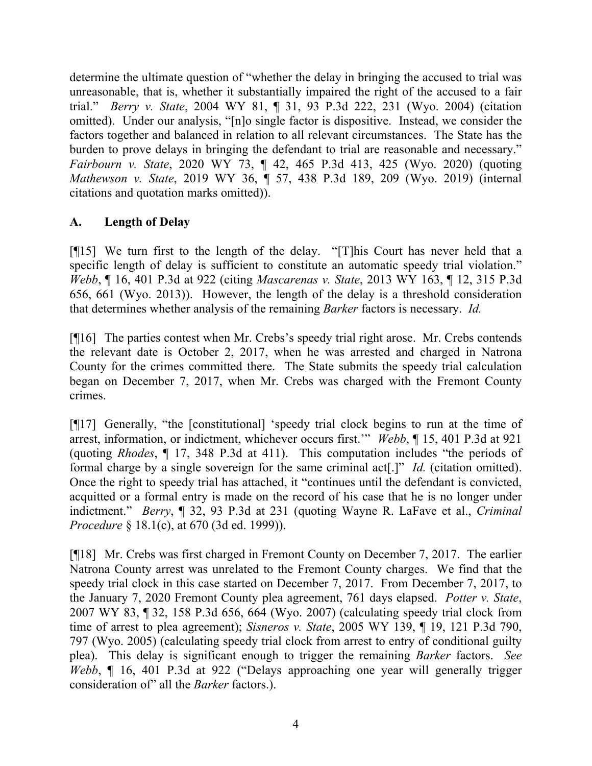determine the ultimate question of "whether the delay in bringing the accused to trial was unreasonable, that is, whether it substantially impaired the right of the accused to a fair trial." *Berry v. State*, 2004 WY 81, ¶ 31, 93 P.3d 222, 231 (Wyo. 2004) (citation omitted). Under our analysis, "[n]o single factor is dispositive. Instead, we consider the factors together and balanced in relation to all relevant circumstances. The State has the burden to prove delays in bringing the defendant to trial are reasonable and necessary." *Fairbourn v. State*, 2020 WY 73, ¶ 42, 465 P.3d 413, 425 (Wyo. 2020) (quoting *Mathewson v. State*, 2019 WY 36, ¶ 57, 438 P.3d 189, 209 (Wyo. 2019) (internal citations and quotation marks omitted)).

# **A. Length of Delay**

[¶15] We turn first to the length of the delay. "[T]his Court has never held that a specific length of delay is sufficient to constitute an automatic speedy trial violation." *Webb*, ¶ 16, 401 P.3d at 922 (citing *Mascarenas v. State*, 2013 WY 163, ¶ 12, 315 P.3d 656, 661 (Wyo. 2013)). However, the length of the delay is a threshold consideration that determines whether analysis of the remaining *Barker* factors is necessary. *Id.*

[¶16] The parties contest when Mr. Crebs's speedy trial right arose. Mr. Crebs contends the relevant date is October 2, 2017, when he was arrested and charged in Natrona County for the crimes committed there. The State submits the speedy trial calculation began on December 7, 2017, when Mr. Crebs was charged with the Fremont County crimes.

[¶17] Generally, "the [constitutional] 'speedy trial clock begins to run at the time of arrest, information, or indictment, whichever occurs first.'" *Webb*, ¶ 15, 401 P.3d at 921 (quoting *Rhodes*, ¶ 17, 348 P.3d at 411). This computation includes "the periods of formal charge by a single sovereign for the same criminal act[.]" *Id.* (citation omitted). Once the right to speedy trial has attached, it "continues until the defendant is convicted, acquitted or a formal entry is made on the record of his case that he is no longer under indictment." *Berry*, ¶ 32, 93 P.3d at 231 (quoting Wayne R. LaFave et al., *Criminal Procedure* § 18.1(c), at 670 (3d ed. 1999)).

[¶18] Mr. Crebs was first charged in Fremont County on December 7, 2017. The earlier Natrona County arrest was unrelated to the Fremont County charges. We find that the speedy trial clock in this case started on December 7, 2017. From December 7, 2017, to the January 7, 2020 Fremont County plea agreement, 761 days elapsed. *Potter v. State*, 2007 WY 83, ¶ 32, 158 P.3d 656, 664 (Wyo. 2007) (calculating speedy trial clock from time of arrest to plea agreement); *Sisneros v. State*, 2005 WY 139, ¶ 19, 121 P.3d 790, 797 (Wyo. 2005) (calculating speedy trial clock from arrest to entry of conditional guilty plea). This delay is significant enough to trigger the remaining *Barker* factors. *See Webb*, ¶ 16, 401 P.3d at 922 ("Delays approaching one year will generally trigger consideration of" all the *Barker* factors.).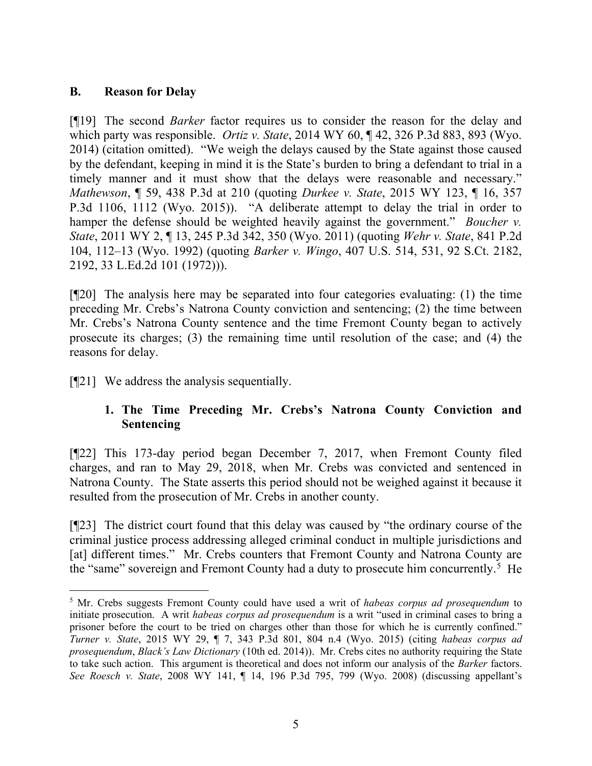## **B. Reason for Delay**

[¶19] The second *Barker* factor requires us to consider the reason for the delay and which party was responsible. *Ortiz v. State*, 2014 WY 60, ¶ 42, 326 P.3d 883, 893 (Wyo. 2014) (citation omitted). "We weigh the delays caused by the State against those caused by the defendant, keeping in mind it is the State's burden to bring a defendant to trial in a timely manner and it must show that the delays were reasonable and necessary." *Mathewson*, ¶ 59, 438 P.3d at 210 (quoting *Durkee v. State*, 2015 WY 123, ¶ 16, 357 P.3d 1106, 1112 (Wyo. 2015)). "A deliberate attempt to delay the trial in order to hamper the defense should be weighted heavily against the government." *Boucher v. State*, 2011 WY 2, ¶ 13, 245 P.3d 342, 350 (Wyo. 2011) (quoting *Wehr v. State*, 841 P.2d 104, 112–13 (Wyo. 1992) (quoting *Barker v. Wingo*, 407 U.S. 514, 531, 92 S.Ct. 2182, 2192, 33 L.Ed.2d 101 (1972))).

[¶20] The analysis here may be separated into four categories evaluating: (1) the time preceding Mr. Crebs's Natrona County conviction and sentencing; (2) the time between Mr. Crebs's Natrona County sentence and the time Fremont County began to actively prosecute its charges; (3) the remaining time until resolution of the case; and (4) the reasons for delay.

[¶21] We address the analysis sequentially.

# **1. The Time Preceding Mr. Crebs's Natrona County Conviction and Sentencing**

[¶22] This 173-day period began December 7, 2017, when Fremont County filed charges, and ran to May 29, 2018, when Mr. Crebs was convicted and sentenced in Natrona County. The State asserts this period should not be weighed against it because it resulted from the prosecution of Mr. Crebs in another county.

[¶23] The district court found that this delay was caused by "the ordinary course of the criminal justice process addressing alleged criminal conduct in multiple jurisdictions and [at] different times." Mr. Crebs counters that Fremont County and Natrona County are the "same" sovereign and Fremont County had a duty to prosecute him concurrently.<sup>[5](#page-5-0)</sup> He

<span id="page-5-0"></span><sup>5</sup> Mr. Crebs suggests Fremont County could have used a writ of *habeas corpus ad prosequendum* to initiate prosecution. A writ *habeas corpus ad prosequendum* is a writ "used in criminal cases to bring a prisoner before the court to be tried on charges other than those for which he is currently confined." *Turner v. State*, 2015 WY 29, ¶ 7, 343 P.3d 801, 804 n.4 (Wyo. 2015) (citing *habeas corpus ad prosequendum*, *Black's Law Dictionary* (10th ed. 2014)). Mr. Crebs cites no authority requiring the State to take such action. This argument is theoretical and does not inform our analysis of the *Barker* factors. *See Roesch v. State*, 2008 WY 141, ¶ 14, 196 P.3d 795, 799 (Wyo. 2008) (discussing appellant's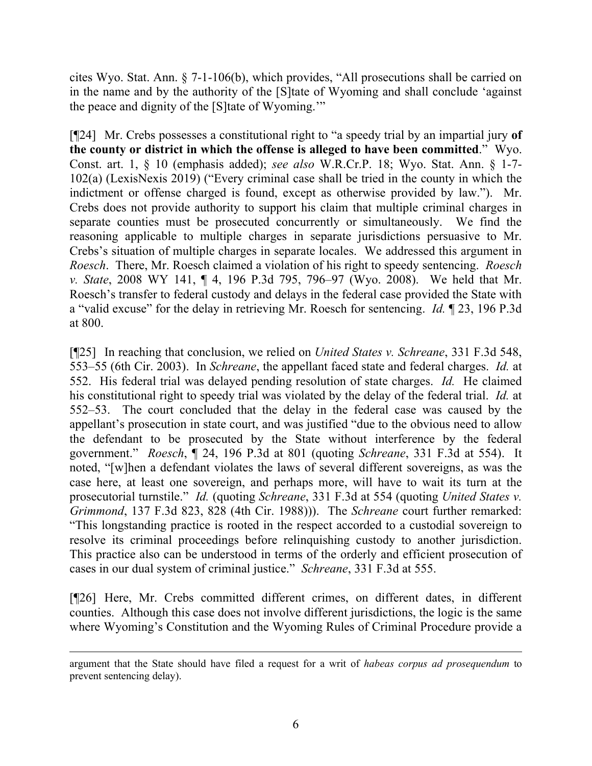cites Wyo. Stat. Ann. § 7-1-106(b), which provides, "All prosecutions shall be carried on in the name and by the authority of the [S]tate of Wyoming and shall conclude 'against the peace and dignity of the [S]tate of Wyoming.'"

[¶24] Mr. Crebs possesses a constitutional right to "a speedy trial by an impartial jury **of the county or district in which the offense is alleged to have been committed**." Wyo. Const. art. 1, § 10 (emphasis added); *see also* W.R.Cr.P. 18; Wyo. Stat. Ann. § 1-7- 102(a) (LexisNexis 2019) ("Every criminal case shall be tried in the county in which the indictment or offense charged is found, except as otherwise provided by law."). Mr. Crebs does not provide authority to support his claim that multiple criminal charges in separate counties must be prosecuted concurrently or simultaneously. We find the reasoning applicable to multiple charges in separate jurisdictions persuasive to Mr. Crebs's situation of multiple charges in separate locales. We addressed this argument in *Roesch*. There, Mr. Roesch claimed a violation of his right to speedy sentencing. *Roesch v. State*, 2008 WY 141, ¶ 4, 196 P.3d 795, 796–97 (Wyo. 2008). We held that Mr. Roesch's transfer to federal custody and delays in the federal case provided the State with a "valid excuse" for the delay in retrieving Mr. Roesch for sentencing. *Id.* ¶ 23, 196 P.3d at 800.

[¶25] In reaching that conclusion, we relied on *United States v. Schreane*, 331 F.3d 548, 553–55 (6th Cir. 2003). In *Schreane*, the appellant faced state and federal charges. *Id.* at 552. His federal trial was delayed pending resolution of state charges. *Id.* He claimed his constitutional right to speedy trial was violated by the delay of the federal trial. *Id.* at 552–53. The court concluded that the delay in the federal case was caused by the appellant's prosecution in state court, and was justified "due to the obvious need to allow the defendant to be prosecuted by the State without interference by the federal government." *Roesch*, ¶ 24, 196 P.3d at 801 (quoting *Schreane*, 331 F.3d at 554). It noted, "[w]hen a defendant violates the laws of several different sovereigns, as was the case here, at least one sovereign, and perhaps more, will have to wait its turn at the prosecutorial turnstile." *Id.* (quoting *Schreane*, 331 F.3d at 554 (quoting *United States v. Grimmond*, 137 F.3d 823, 828 (4th Cir. 1988))). The *Schreane* court further remarked: "This longstanding practice is rooted in the respect accorded to a custodial sovereign to resolve its criminal proceedings before relinquishing custody to another jurisdiction. This practice also can be understood in terms of the orderly and efficient prosecution of cases in our dual system of criminal justice." *Schreane*, 331 F.3d at 555.

[¶26] Here, Mr. Crebs committed different crimes, on different dates, in different counties. Although this case does not involve different jurisdictions, the logic is the same where Wyoming's Constitution and the Wyoming Rules of Criminal Procedure provide a

argument that the State should have filed a request for a writ of *habeas corpus ad prosequendum* to prevent sentencing delay).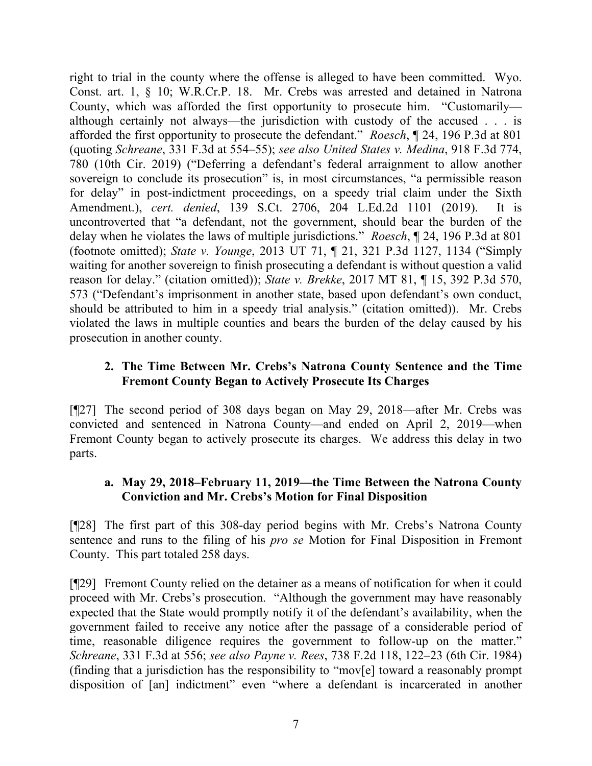right to trial in the county where the offense is alleged to have been committed. Wyo. Const. art. 1, § 10; W.R.Cr.P. 18. Mr. Crebs was arrested and detained in Natrona County, which was afforded the first opportunity to prosecute him. "Customarily although certainly not always—the jurisdiction with custody of the accused . . . is afforded the first opportunity to prosecute the defendant." *Roesch*, ¶ 24, 196 P.3d at 801 (quoting *Schreane*, 331 F.3d at 554–55); *see also United States v. Medina*, 918 F.3d 774, 780 (10th Cir. 2019) ("Deferring a defendant's federal arraignment to allow another sovereign to conclude its prosecution" is, in most circumstances, "a permissible reason for delay" in post-indictment proceedings, on a speedy trial claim under the Sixth Amendment.), *cert. denied*, 139 S.Ct. 2706, 204 L.Ed.2d 1101 (2019). It is uncontroverted that "a defendant, not the government, should bear the burden of the delay when he violates the laws of multiple jurisdictions." *Roesch*, ¶ 24, 196 P.3d at 801 (footnote omitted); *State v. Younge*, 2013 UT 71, ¶ 21, 321 P.3d 1127, 1134 ("Simply waiting for another sovereign to finish prosecuting a defendant is without question a valid reason for delay." (citation omitted)); *State v. Brekke*, 2017 MT 81, ¶ 15, 392 P.3d 570, 573 ("Defendant's imprisonment in another state, based upon defendant's own conduct, should be attributed to him in a speedy trial analysis." (citation omitted)). Mr. Crebs violated the laws in multiple counties and bears the burden of the delay caused by his prosecution in another county.

## **2. The Time Between Mr. Crebs's Natrona County Sentence and the Time Fremont County Began to Actively Prosecute Its Charges**

[¶27] The second period of 308 days began on May 29, 2018—after Mr. Crebs was convicted and sentenced in Natrona County—and ended on April 2, 2019—when Fremont County began to actively prosecute its charges. We address this delay in two parts.

# **a. May 29, 2018–February 11, 2019—the Time Between the Natrona County Conviction and Mr. Crebs's Motion for Final Disposition**

[¶28] The first part of this 308-day period begins with Mr. Crebs's Natrona County sentence and runs to the filing of his *pro se* Motion for Final Disposition in Fremont County. This part totaled 258 days.

[¶29] Fremont County relied on the detainer as a means of notification for when it could proceed with Mr. Crebs's prosecution. "Although the government may have reasonably expected that the State would promptly notify it of the defendant's availability, when the government failed to receive any notice after the passage of a considerable period of time, reasonable diligence requires the government to follow-up on the matter." *Schreane*, 331 F.3d at 556; *see also Payne v. Rees*, 738 F.2d 118, 122–23 (6th Cir. 1984) (finding that a jurisdiction has the responsibility to "mov[e] toward a reasonably prompt disposition of [an] indictment" even "where a defendant is incarcerated in another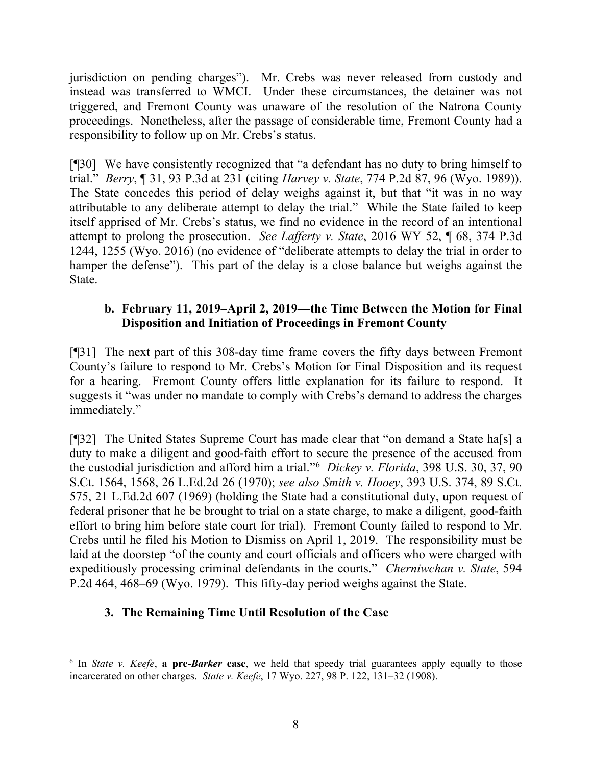jurisdiction on pending charges"). Mr. Crebs was never released from custody and instead was transferred to WMCI. Under these circumstances, the detainer was not triggered, and Fremont County was unaware of the resolution of the Natrona County proceedings. Nonetheless, after the passage of considerable time, Fremont County had a responsibility to follow up on Mr. Crebs's status.

[¶30] We have consistently recognized that "a defendant has no duty to bring himself to trial." *Berry*, ¶ 31, 93 P.3d at 231 (citing *Harvey v. State*, 774 P.2d 87, 96 (Wyo. 1989)). The State concedes this period of delay weighs against it, but that "it was in no way attributable to any deliberate attempt to delay the trial." While the State failed to keep itself apprised of Mr. Crebs's status, we find no evidence in the record of an intentional attempt to prolong the prosecution. *See Lafferty v. State*, 2016 WY 52, ¶ 68, 374 P.3d 1244, 1255 (Wyo. 2016) (no evidence of "deliberate attempts to delay the trial in order to hamper the defense"). This part of the delay is a close balance but weighs against the State.

## **b. February 11, 2019–April 2, 2019—the Time Between the Motion for Final Disposition and Initiation of Proceedings in Fremont County**

[¶31] The next part of this 308-day time frame covers the fifty days between Fremont County's failure to respond to Mr. Crebs's Motion for Final Disposition and its request for a hearing. Fremont County offers little explanation for its failure to respond. It suggests it "was under no mandate to comply with Crebs's demand to address the charges immediately."

[¶32] The United States Supreme Court has made clear that "on demand a State ha[s] a duty to make a diligent and good-faith effort to secure the presence of the accused from the custodial jurisdiction and afford him a trial."[6](#page-8-0) *Dickey v. Florida*, 398 U.S. 30, 37, 90 S.Ct. 1564, 1568, 26 L.Ed.2d 26 (1970); *see also Smith v. Hooey*, 393 U.S. 374, 89 S.Ct. 575, 21 L.Ed.2d 607 (1969) (holding the State had a constitutional duty, upon request of federal prisoner that he be brought to trial on a state charge, to make a diligent, good-faith effort to bring him before state court for trial). Fremont County failed to respond to Mr. Crebs until he filed his Motion to Dismiss on April 1, 2019. The responsibility must be laid at the doorstep "of the county and court officials and officers who were charged with expeditiously processing criminal defendants in the courts." *Cherniwchan v. State*, 594 P.2d 464, 468–69 (Wyo. 1979). This fifty-day period weighs against the State.

# **3. The Remaining Time Until Resolution of the Case**

<span id="page-8-0"></span><sup>6</sup> In *State v. Keefe*, **a pre-***Barker* **case**, we held that speedy trial guarantees apply equally to those incarcerated on other charges. *State v. Keefe*, 17 Wyo. 227, 98 P. 122, 131–32 (1908).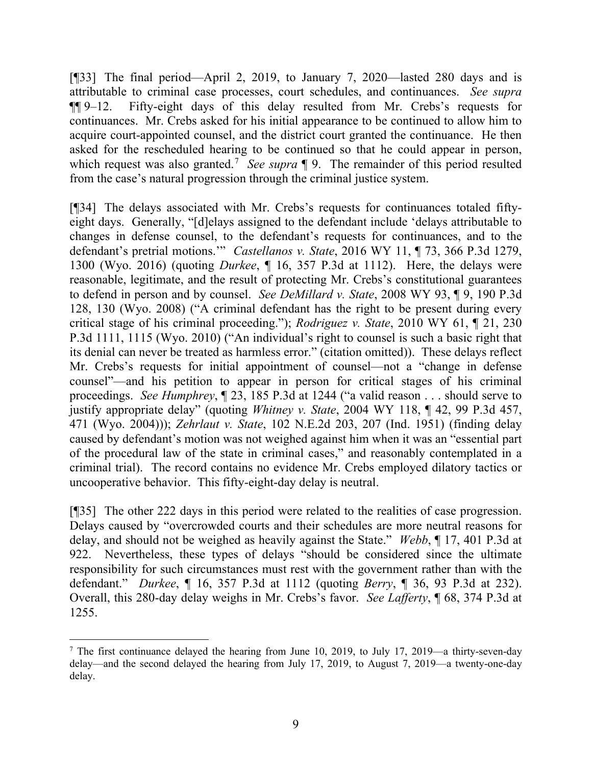[¶33] The final period—April 2, 2019, to January 7, 2020—lasted 280 days and is attributable to criminal case processes, court schedules, and continuances. *See supra* ¶¶ 9–12. Fifty-eight days of this delay resulted from Mr. Crebs's requests for continuances. Mr. Crebs asked for his initial appearance to be continued to allow him to acquire court-appointed counsel, and the district court granted the continuance. He then asked for the rescheduled hearing to be continued so that he could appear in person, which request was also granted.<sup>[7](#page-9-0)</sup> *See supra* 19. The remainder of this period resulted from the case's natural progression through the criminal justice system.

[¶34] The delays associated with Mr. Crebs's requests for continuances totaled fiftyeight days. Generally, "[d]elays assigned to the defendant include 'delays attributable to changes in defense counsel, to the defendant's requests for continuances, and to the defendant's pretrial motions.'" *Castellanos v. State*, 2016 WY 11, ¶ 73, 366 P.3d 1279, 1300 (Wyo. 2016) (quoting *Durkee*, ¶ 16, 357 P.3d at 1112). Here, the delays were reasonable, legitimate, and the result of protecting Mr. Crebs's constitutional guarantees to defend in person and by counsel. *See DeMillard v. State*, 2008 WY 93, ¶ 9, 190 P.3d 128, 130 (Wyo. 2008) ("A criminal defendant has the right to be present during every critical stage of his criminal proceeding."); *Rodriguez v. State*, 2010 WY 61, ¶ 21, 230 P.3d 1111, 1115 (Wyo. 2010) ("An individual's right to counsel is such a basic right that its denial can never be treated as harmless error." (citation omitted)). These delays reflect Mr. Crebs's requests for initial appointment of counsel—not a "change in defense counsel"—and his petition to appear in person for critical stages of his criminal proceedings. *See Humphrey*, ¶ 23, 185 P.3d at 1244 ("a valid reason . . . should serve to justify appropriate delay" (quoting *Whitney v. State*, 2004 WY 118, ¶ 42, 99 P.3d 457, 471 (Wyo. 2004))); *Zehrlaut v. State*, 102 N.E.2d 203, 207 (Ind. 1951) (finding delay caused by defendant's motion was not weighed against him when it was an "essential part of the procedural law of the state in criminal cases," and reasonably contemplated in a criminal trial). The record contains no evidence Mr. Crebs employed dilatory tactics or uncooperative behavior. This fifty-eight-day delay is neutral.

[¶35] The other 222 days in this period were related to the realities of case progression. Delays caused by "overcrowded courts and their schedules are more neutral reasons for delay, and should not be weighed as heavily against the State." *Webb*, ¶ 17, 401 P.3d at 922. Nevertheless, these types of delays "should be considered since the ultimate responsibility for such circumstances must rest with the government rather than with the defendant." *Durkee*, ¶ 16, 357 P.3d at 1112 (quoting *Berry*, ¶ 36, 93 P.3d at 232). Overall, this 280-day delay weighs in Mr. Crebs's favor. *See Lafferty*, ¶ 68, 374 P.3d at 1255.

<span id="page-9-0"></span><sup>&</sup>lt;sup>7</sup> The first continuance delayed the hearing from June 10, 2019, to July 17, 2019—a thirty-seven-day delay—and the second delayed the hearing from July 17, 2019, to August 7, 2019—a twenty-one-day delay.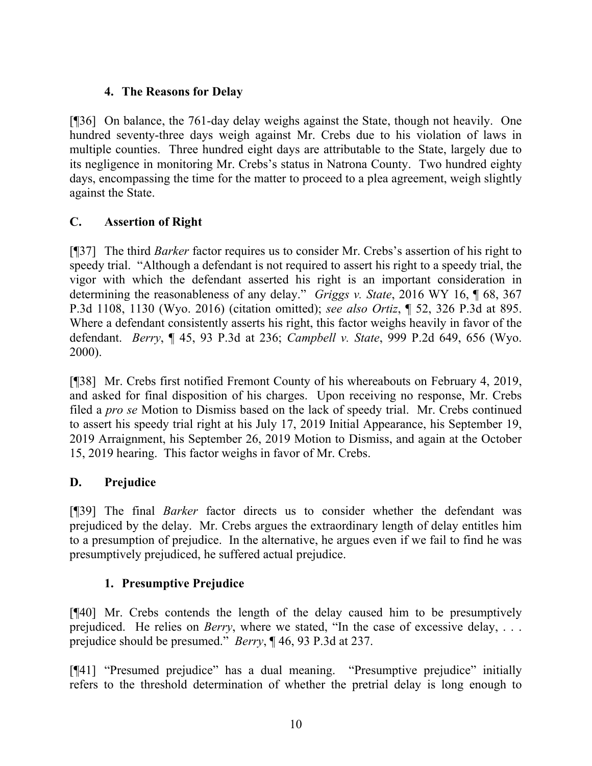# **4. The Reasons for Delay**

[¶36] On balance, the 761-day delay weighs against the State, though not heavily. One hundred seventy-three days weigh against Mr. Crebs due to his violation of laws in multiple counties. Three hundred eight days are attributable to the State, largely due to its negligence in monitoring Mr. Crebs's status in Natrona County. Two hundred eighty days, encompassing the time for the matter to proceed to a plea agreement, weigh slightly against the State.

# **C. Assertion of Right**

[¶37] The third *Barker* factor requires us to consider Mr. Crebs's assertion of his right to speedy trial. "Although a defendant is not required to assert his right to a speedy trial, the vigor with which the defendant asserted his right is an important consideration in determining the reasonableness of any delay." *Griggs v. State*, 2016 WY 16, ¶ 68, 367 P.3d 1108, 1130 (Wyo. 2016) (citation omitted); *see also Ortiz*, ¶ 52, 326 P.3d at 895. Where a defendant consistently asserts his right, this factor weighs heavily in favor of the defendant. *Berry*, ¶ 45, 93 P.3d at 236; *Campbell v. State*, 999 P.2d 649, 656 (Wyo. 2000).

[¶38] Mr. Crebs first notified Fremont County of his whereabouts on February 4, 2019, and asked for final disposition of his charges. Upon receiving no response, Mr. Crebs filed a *pro se* Motion to Dismiss based on the lack of speedy trial. Mr. Crebs continued to assert his speedy trial right at his July 17, 2019 Initial Appearance, his September 19, 2019 Arraignment, his September 26, 2019 Motion to Dismiss, and again at the October 15, 2019 hearing. This factor weighs in favor of Mr. Crebs.

# **D. Prejudice**

[¶39] The final *Barker* factor directs us to consider whether the defendant was prejudiced by the delay. Mr. Crebs argues the extraordinary length of delay entitles him to a presumption of prejudice. In the alternative, he argues even if we fail to find he was presumptively prejudiced, he suffered actual prejudice.

# **1. Presumptive Prejudice**

[¶40] Mr. Crebs contends the length of the delay caused him to be presumptively prejudiced. He relies on *Berry*, where we stated, "In the case of excessive delay, . . . prejudice should be presumed." *Berry*, ¶ 46, 93 P.3d at 237.

[¶41] "Presumed prejudice" has a dual meaning. "Presumptive prejudice" initially refers to the threshold determination of whether the pretrial delay is long enough to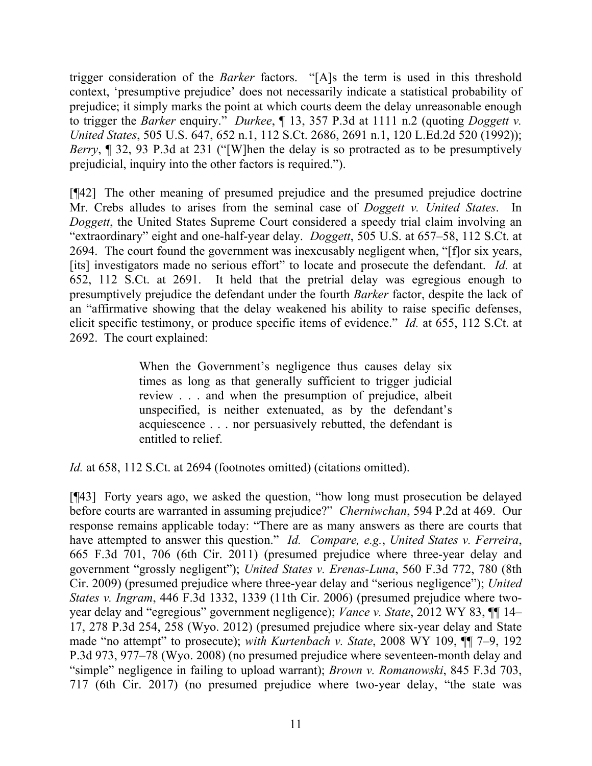trigger consideration of the *Barker* factors. "[A]s the term is used in this threshold context, 'presumptive prejudice' does not necessarily indicate a statistical probability of prejudice; it simply marks the point at which courts deem the delay unreasonable enough to trigger the *Barker* enquiry." *Durkee*, ¶ 13, 357 P.3d at 1111 n.2 (quoting *Doggett v. United States*, 505 U.S. 647, 652 n.1, 112 S.Ct. 2686, 2691 n.1, 120 L.Ed.2d 520 (1992)); *Berry*,  $\parallel$  32, 93 P.3d at 231 ("[W]hen the delay is so protracted as to be presumptively prejudicial, inquiry into the other factors is required.").

[¶42] The other meaning of presumed prejudice and the presumed prejudice doctrine Mr. Crebs alludes to arises from the seminal case of *Doggett v. United States*. In *Doggett*, the United States Supreme Court considered a speedy trial claim involving an "extraordinary" eight and one-half-year delay. *Doggett*, 505 U.S. at 657–58, 112 S.Ct. at 2694. The court found the government was inexcusably negligent when, "[f]or six years, [its] investigators made no serious effort" to locate and prosecute the defendant. *Id.* at 652, 112 S.Ct. at 2691. It held that the pretrial delay was egregious enough to presumptively prejudice the defendant under the fourth *Barker* factor, despite the lack of an "affirmative showing that the delay weakened his ability to raise specific defenses, elicit specific testimony, or produce specific items of evidence." *Id.* at 655, 112 S.Ct. at 2692. The court explained:

> When the Government's negligence thus causes delay six times as long as that generally sufficient to trigger judicial review . . . and when the presumption of prejudice, albeit unspecified, is neither extenuated, as by the defendant's acquiescence . . . nor persuasively rebutted, the defendant is entitled to relief.

*Id.* at 658, 112 S.Ct. at 2694 (footnotes omitted) (citations omitted).

[¶43] Forty years ago, we asked the question, "how long must prosecution be delayed before courts are warranted in assuming prejudice?" *Cherniwchan*, 594 P.2d at 469. Our response remains applicable today: "There are as many answers as there are courts that have attempted to answer this question." *Id. Compare, e.g.*, *United States v. Ferreira*, 665 F.3d 701, 706 (6th Cir. 2011) (presumed prejudice where three-year delay and government "grossly negligent"); *United States v. Erenas-Luna*, 560 F.3d 772, 780 (8th Cir. 2009) (presumed prejudice where three-year delay and "serious negligence"); *United States v. Ingram*, 446 F.3d 1332, 1339 (11th Cir. 2006) (presumed prejudice where twoyear delay and "egregious" government negligence); *Vance v. State*, 2012 WY 83, ¶¶ 14– 17, 278 P.3d 254, 258 (Wyo. 2012) (presumed prejudice where six-year delay and State made "no attempt" to prosecute); *with Kurtenbach v. State*, 2008 WY 109, ¶¶ 7–9, 192 P.3d 973, 977–78 (Wyo. 2008) (no presumed prejudice where seventeen-month delay and "simple" negligence in failing to upload warrant); *Brown v. Romanowski*, 845 F.3d 703, 717 (6th Cir. 2017) (no presumed prejudice where two-year delay, "the state was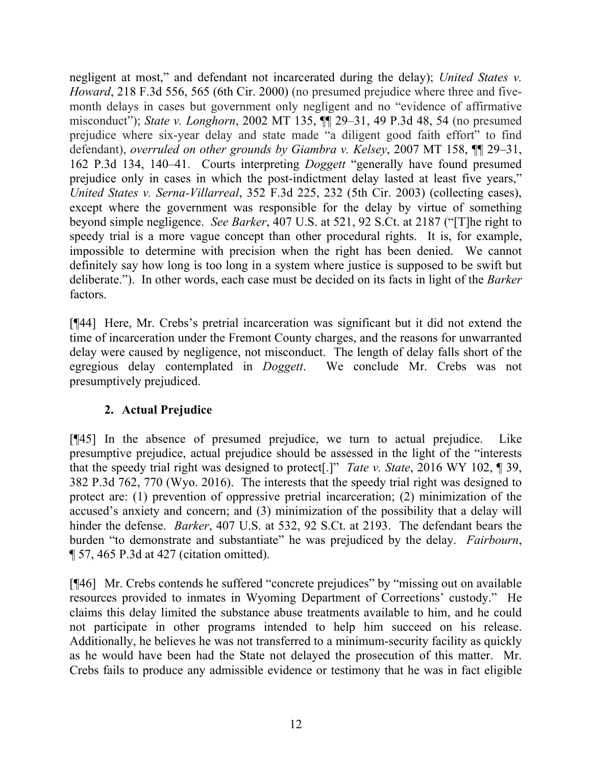negligent at most," and defendant not incarcerated during the delay); *United States v. Howard*, 218 F.3d 556, 565 (6th Cir. 2000) (no presumed prejudice where three and fivemonth delays in cases but government only negligent and no "evidence of affirmative misconduct"); *State v. Longhorn*, 2002 MT 135, ¶¶ 29–31, 49 P.3d 48, 54 (no presumed prejudice where six-year delay and state made "a diligent good faith effort" to find defendant), *overruled on other grounds by Giambra v. Kelsey*, 2007 MT 158, ¶¶ 29–31, 162 P.3d 134, 140–41. Courts interpreting *Doggett* "generally have found presumed prejudice only in cases in which the post-indictment delay lasted at least five years," *United States v. Serna-Villarreal*, 352 F.3d 225, 232 (5th Cir. 2003) (collecting cases), except where the government was responsible for the delay by virtue of something beyond simple negligence. *See Barker*, 407 U.S. at 521, 92 S.Ct. at 2187 ("[T]he right to speedy trial is a more vague concept than other procedural rights. It is, for example, impossible to determine with precision when the right has been denied. We cannot definitely say how long is too long in a system where justice is supposed to be swift but deliberate."). In other words, each case must be decided on its facts in light of the *Barker* factors.

[¶44] Here, Mr. Crebs's pretrial incarceration was significant but it did not extend the time of incarceration under the Fremont County charges, and the reasons for unwarranted delay were caused by negligence, not misconduct. The length of delay falls short of the egregious delay contemplated in *Doggett*. We conclude Mr. Crebs was not presumptively prejudiced.

# **2. Actual Prejudice**

[¶45] In the absence of presumed prejudice, we turn to actual prejudice. Like presumptive prejudice, actual prejudice should be assessed in the light of the "interests that the speedy trial right was designed to protect[.]" *Tate v. State*, 2016 WY 102, ¶ 39, 382 P.3d 762, 770 (Wyo. 2016). The interests that the speedy trial right was designed to protect are: (1) prevention of oppressive pretrial incarceration; (2) minimization of the accused's anxiety and concern; and (3) minimization of the possibility that a delay will hinder the defense. *Barker*, 407 U.S. at 532, 92 S.Ct. at 2193. The defendant bears the burden "to demonstrate and substantiate" he was prejudiced by the delay. *Fairbourn*, ¶ 57, 465 P.3d at 427 (citation omitted).

[¶46] Mr. Crebs contends he suffered "concrete prejudices" by "missing out on available resources provided to inmates in Wyoming Department of Corrections' custody." He claims this delay limited the substance abuse treatments available to him, and he could not participate in other programs intended to help him succeed on his release. Additionally, he believes he was not transferred to a minimum-security facility as quickly as he would have been had the State not delayed the prosecution of this matter. Mr. Crebs fails to produce any admissible evidence or testimony that he was in fact eligible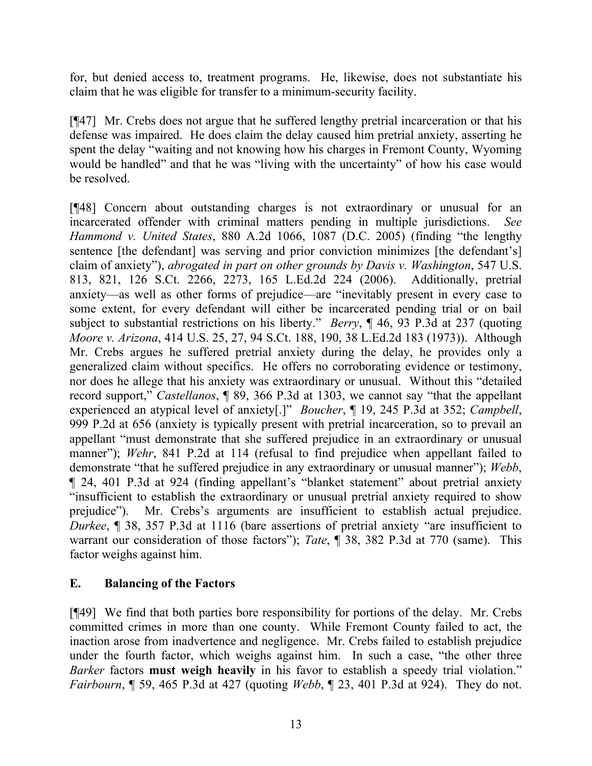for, but denied access to, treatment programs. He, likewise, does not substantiate his claim that he was eligible for transfer to a minimum-security facility.

[¶47] Mr. Crebs does not argue that he suffered lengthy pretrial incarceration or that his defense was impaired. He does claim the delay caused him pretrial anxiety, asserting he spent the delay "waiting and not knowing how his charges in Fremont County, Wyoming would be handled" and that he was "living with the uncertainty" of how his case would be resolved.

[¶48] Concern about outstanding charges is not extraordinary or unusual for an incarcerated offender with criminal matters pending in multiple jurisdictions. *See Hammond v. United States*, 880 A.2d 1066, 1087 (D.C. 2005) (finding "the lengthy sentence [the defendant] was serving and prior conviction minimizes [the defendant's] claim of anxiety"), *abrogated in part on other grounds by Davis v. Washington*, 547 U.S. 813, 821, 126 S.Ct. 2266, 2273, 165 L.Ed.2d 224 (2006). Additionally, pretrial anxiety—as well as other forms of prejudice—are "inevitably present in every case to some extent, for every defendant will either be incarcerated pending trial or on bail subject to substantial restrictions on his liberty." *Berry*, ¶ 46, 93 P.3d at 237 (quoting *Moore v. Arizona*, 414 U.S. 25, 27, 94 S.Ct. 188, 190, 38 L.Ed.2d 183 (1973)). Although Mr. Crebs argues he suffered pretrial anxiety during the delay, he provides only a generalized claim without specifics. He offers no corroborating evidence or testimony, nor does he allege that his anxiety was extraordinary or unusual. Without this "detailed record support," *Castellanos*, ¶ 89, 366 P.3d at 1303, we cannot say "that the appellant experienced an atypical level of anxiety[.]" *Boucher*, ¶ 19, 245 P.3d at 352; *Campbell*, 999 P.2d at 656 (anxiety is typically present with pretrial incarceration, so to prevail an appellant "must demonstrate that she suffered prejudice in an extraordinary or unusual manner"); *Wehr*, 841 P.2d at 114 (refusal to find prejudice when appellant failed to demonstrate "that he suffered prejudice in any extraordinary or unusual manner"); *Webb*, ¶ 24, 401 P.3d at 924 (finding appellant's "blanket statement" about pretrial anxiety "insufficient to establish the extraordinary or unusual pretrial anxiety required to show prejudice"). Mr. Crebs's arguments are insufficient to establish actual prejudice. *Durkee*, ¶ 38, 357 P.3d at 1116 (bare assertions of pretrial anxiety "are insufficient to warrant our consideration of those factors"); *Tate*, ¶ 38, 382 P.3d at 770 (same). This factor weighs against him.

## **E. Balancing of the Factors**

[¶49] We find that both parties bore responsibility for portions of the delay. Mr. Crebs committed crimes in more than one county. While Fremont County failed to act, the inaction arose from inadvertence and negligence. Mr. Crebs failed to establish prejudice under the fourth factor, which weighs against him. In such a case, "the other three *Barker* factors **must weigh heavily** in his favor to establish a speedy trial violation." *Fairbourn*, ¶ 59, 465 P.3d at 427 (quoting *Webb*, ¶ 23, 401 P.3d at 924). They do not.